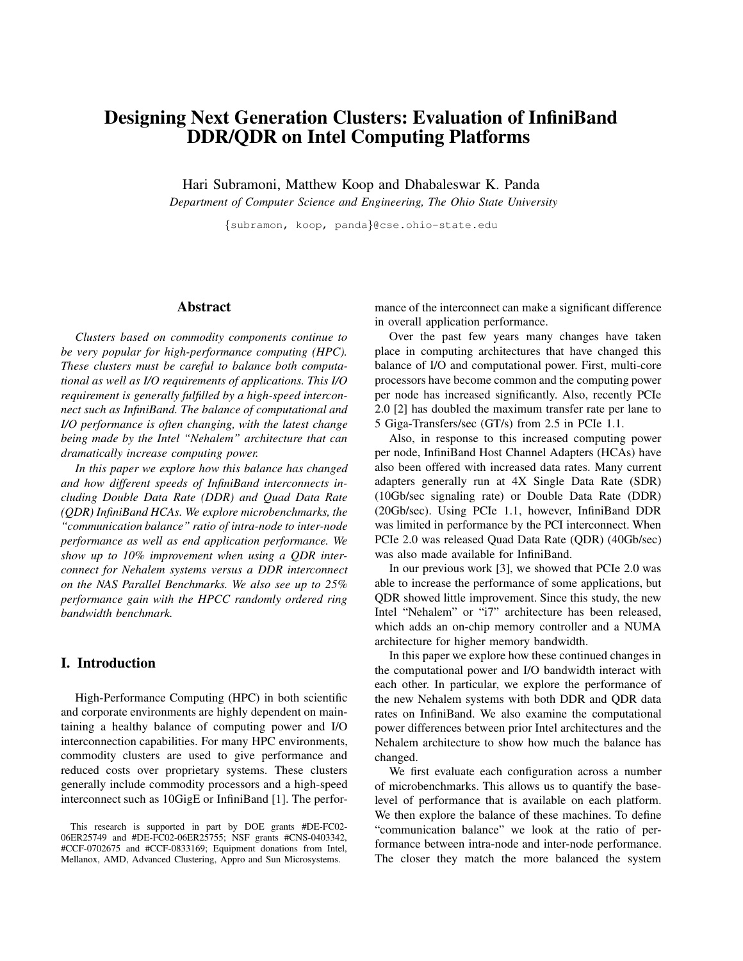# **Designing Next Generation Clusters: Evaluation of InfiniBand DDR/QDR on Intel Computing Platforms**

Hari Subramoni, Matthew Koop and Dhabaleswar K. Panda *Department of Computer Science and Engineering, The Ohio State University*

{subramon, koop, panda}@cse.ohio-state.edu

### **Abstract**

*Clusters based on commodity components continue to be very popular for high-performance computing (HPC). These clusters must be careful to balance both computational as well as I/O requirements of applications. This I/O requirement is generally fulfilled by a high-speed interconnect such as InfiniBand. The balance of computational and I/O performance is often changing, with the latest change being made by the Intel "Nehalem" architecture that can dramatically increase computing power.*

*In this paper we explore how this balance has changed and how different speeds of InfiniBand interconnects including Double Data Rate (DDR) and Quad Data Rate (QDR) InfiniBand HCAs. We explore microbenchmarks, the "communication balance" ratio of intra-node to inter-node performance as well as end application performance. We show up to 10% improvement when using a QDR interconnect for Nehalem systems versus a DDR interconnect on the NAS Parallel Benchmarks. We also see up to 25% performance gain with the HPCC randomly ordered ring bandwidth benchmark.*

# **I. Introduction**

High-Performance Computing (HPC) in both scientific and corporate environments are highly dependent on maintaining a healthy balance of computing power and I/O interconnection capabilities. For many HPC environments, commodity clusters are used to give performance and reduced costs over proprietary systems. These clusters generally include commodity processors and a high-speed interconnect such as 10GigE or InfiniBand [1]. The performance of the interconnect can make a significant difference in overall application performance.

Over the past few years many changes have taken place in computing architectures that have changed this balance of I/O and computational power. First, multi-core processors have become common and the computing power per node has increased significantly. Also, recently PCIe 2.0 [2] has doubled the maximum transfer rate per lane to 5 Giga-Transfers/sec (GT/s) from 2.5 in PCIe 1.1.

Also, in response to this increased computing power per node, InfiniBand Host Channel Adapters (HCAs) have also been offered with increased data rates. Many current adapters generally run at 4X Single Data Rate (SDR) (10Gb/sec signaling rate) or Double Data Rate (DDR) (20Gb/sec). Using PCIe 1.1, however, InfiniBand DDR was limited in performance by the PCI interconnect. When PCIe 2.0 was released Quad Data Rate (QDR) (40Gb/sec) was also made available for InfiniBand.

In our previous work [3], we showed that PCIe 2.0 was able to increase the performance of some applications, but QDR showed little improvement. Since this study, the new Intel "Nehalem" or "i7" architecture has been released, which adds an on-chip memory controller and a NUMA architecture for higher memory bandwidth.

In this paper we explore how these continued changes in the computational power and I/O bandwidth interact with each other. In particular, we explore the performance of the new Nehalem systems with both DDR and QDR data rates on InfiniBand. We also examine the computational power differences between prior Intel architectures and the Nehalem architecture to show how much the balance has changed.

We first evaluate each configuration across a number of microbenchmarks. This allows us to quantify the baselevel of performance that is available on each platform. We then explore the balance of these machines. To define "communication balance" we look at the ratio of performance between intra-node and inter-node performance. The closer they match the more balanced the system

This research is supported in part by DOE grants #DE-FC02- 06ER25749 and #DE-FC02-06ER25755; NSF grants #CNS-0403342, #CCF-0702675 and #CCF-0833169; Equipment donations from Intel, Mellanox, AMD, Advanced Clustering, Appro and Sun Microsystems.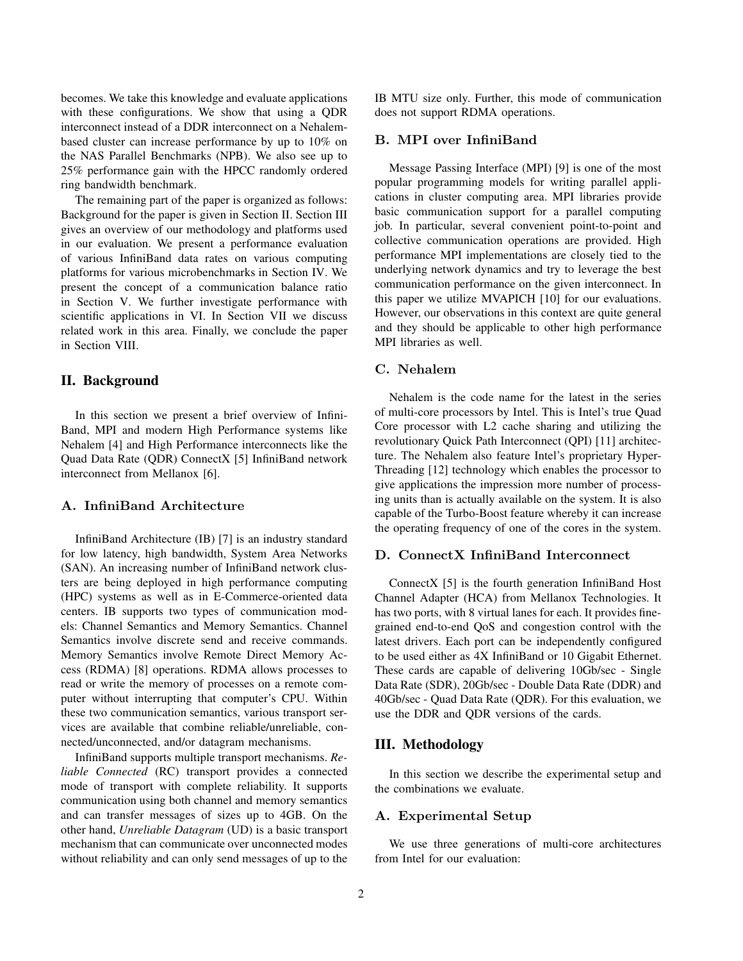becomes. We take this knowledge and evaluate applications with these configurations. We show that using a QDR interconnect instead of a DDR interconnect on a Nehalembased cluster can increase performance by up to 10% on the NAS Parallel Benchmarks (NPB). We also see up to 25% performance gain with the HPCC randomly ordered ring bandwidth benchmark.

The remaining part of the paper is organized as follows: Background for the paper is given in Section II. Section III gives an overview of our methodology and platforms used in our evaluation. We present a performance evaluation of various InfiniBand data rates on various computing platforms for various microbenchmarks in Section IV. We present the concept of a communication balance ratio in Section V. We further investigate performance with scientific applications in VI. In Section VII we discuss related work in this area. Finally, we conclude the paper in Section VIII.

## **II. Background**

In this section we present a brief overview of Infini-Band, MPI and modern High Performance systems like Nehalem [4] and High Performance interconnects like the Quad Data Rate (QDR) ConnectX [5] InfiniBand network interconnect from Mellanox [6].

# A. InfiniBand Architecture

InfiniBand Architecture (IB) [7] is an industry standard for low latency, high bandwidth, System Area Networks (SAN). An increasing number of InfiniBand network clusters are being deployed in high performance computing (HPC) systems as well as in E-Commerce-oriented data centers. IB supports two types of communication models: Channel Semantics and Memory Semantics. Channel Semantics involve discrete send and receive commands. Memory Semantics involve Remote Direct Memory Access (RDMA) [8] operations. RDMA allows processes to read or write the memory of processes on a remote computer without interrupting that computer's CPU. Within these two communication semantics, various transport services are available that combine reliable/unreliable, connected/unconnected, and/or datagram mechanisms.

InfiniBand supports multiple transport mechanisms. *Reliable Connected* (RC) transport provides a connected mode of transport with complete reliability. It supports communication using both channel and memory semantics and can transfer messages of sizes up to 4GB. On the other hand, *Unreliable Datagram* (UD) is a basic transport mechanism that can communicate over unconnected modes without reliability and can only send messages of up to the

IB MTU size only. Further, this mode of communication does not support RDMA operations.

### B. MPI over InfiniBand

Message Passing Interface (MPI) [9] is one of the most popular programming models for writing parallel applications in cluster computing area. MPI libraries provide basic communication support for a parallel computing job. In particular, several convenient point-to-point and collective communication operations are provided. High performance MPI implementations are closely tied to the underlying network dynamics and try to leverage the best communication performance on the given interconnect. In this paper we utilize MVAPICH [10] for our evaluations. However, our observations in this context are quite general and they should be applicable to other high performance MPI libraries as well.

### C. Nehalem

Nehalem is the code name for the latest in the series of multi-core processors by Intel. This is Intel's true Quad Core processor with L2 cache sharing and utilizing the revolutionary Quick Path Interconnect (QPI) [11] architecture. The Nehalem also feature Intel's proprietary Hyper-Threading [12] technology which enables the processor to give applications the impression more number of processing units than is actually available on the system. It is also capable of the Turbo-Boost feature whereby it can increase the operating frequency of one of the cores in the system.

### D. ConnectX InfiniBand Interconnect

ConnectX [5] is the fourth generation InfiniBand Host Channel Adapter (HCA) from Mellanox Technologies. It has two ports, with 8 virtual lanes for each. It provides finegrained end-to-end QoS and congestion control with the latest drivers. Each port can be independently configured to be used either as 4X InfiniBand or 10 Gigabit Ethernet. These cards are capable of delivering 10Gb/sec - Single Data Rate (SDR), 20Gb/sec - Double Data Rate (DDR) and 40Gb/sec - Quad Data Rate (QDR). For this evaluation, we use the DDR and QDR versions of the cards.

### **III. Methodology**

In this section we describe the experimental setup and the combinations we evaluate.

### A. Experimental Setup

We use three generations of multi-core architectures from Intel for our evaluation: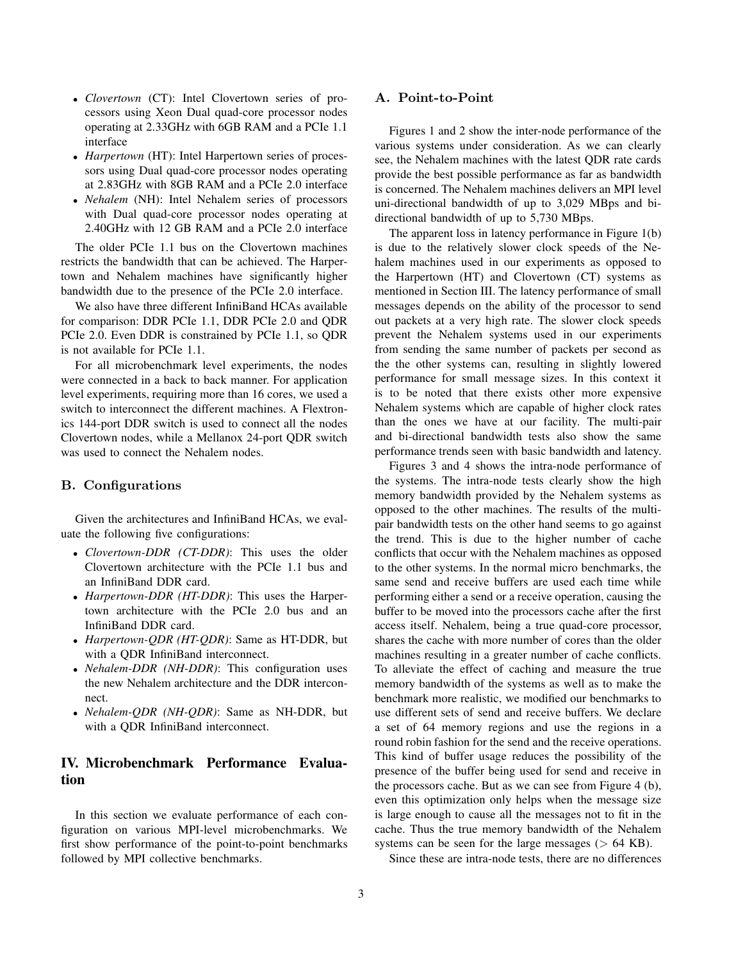- *Clovertown* (CT): Intel Clovertown series of processors using Xeon Dual quad-core processor nodes operating at 2.33GHz with 6GB RAM and a PCIe 1.1 interface
- *Harpertown* (HT): Intel Harpertown series of processors using Dual quad-core processor nodes operating at 2.83GHz with 8GB RAM and a PCIe 2.0 interface
- *Nehalem* (NH): Intel Nehalem series of processors with Dual quad-core processor nodes operating at 2.40GHz with 12 GB RAM and a PCIe 2.0 interface

The older PCIe 1.1 bus on the Clovertown machines restricts the bandwidth that can be achieved. The Harpertown and Nehalem machines have significantly higher bandwidth due to the presence of the PCIe 2.0 interface.

We also have three different InfiniBand HCAs available for comparison: DDR PCIe 1.1, DDR PCIe 2.0 and QDR PCIe 2.0. Even DDR is constrained by PCIe 1.1, so QDR is not available for PCIe 1.1.

For all microbenchmark level experiments, the nodes were connected in a back to back manner. For application level experiments, requiring more than 16 cores, we used a switch to interconnect the different machines. A Flextronics 144-port DDR switch is used to connect all the nodes Clovertown nodes, while a Mellanox 24-port QDR switch was used to connect the Nehalem nodes.

### B. Configurations

Given the architectures and InfiniBand HCAs, we evaluate the following five configurations:

- *Clovertown-DDR (CT-DDR)*: This uses the older Clovertown architecture with the PCIe 1.1 bus and an InfiniBand DDR card.
- *Harpertown-DDR (HT-DDR)*: This uses the Harpertown architecture with the PCIe 2.0 bus and an InfiniBand DDR card.
- *Harpertown-QDR (HT-QDR)*: Same as HT-DDR, but with a QDR InfiniBand interconnect.
- *Nehalem-DDR (NH-DDR)*: This configuration uses the new Nehalem architecture and the DDR interconnect.
- *Nehalem-QDR (NH-QDR)*: Same as NH-DDR, but with a QDR InfiniBand interconnect.

# **IV. Microbenchmark Performance Evaluation**

In this section we evaluate performance of each configuration on various MPI-level microbenchmarks. We first show performance of the point-to-point benchmarks followed by MPI collective benchmarks.

### A. Point-to-Point

Figures 1 and 2 show the inter-node performance of the various systems under consideration. As we can clearly see, the Nehalem machines with the latest QDR rate cards provide the best possible performance as far as bandwidth is concerned. The Nehalem machines delivers an MPI level uni-directional bandwidth of up to 3,029 MBps and bidirectional bandwidth of up to 5,730 MBps.

The apparent loss in latency performance in Figure 1(b) is due to the relatively slower clock speeds of the Nehalem machines used in our experiments as opposed to the Harpertown (HT) and Clovertown (CT) systems as mentioned in Section III. The latency performance of small messages depends on the ability of the processor to send out packets at a very high rate. The slower clock speeds prevent the Nehalem systems used in our experiments from sending the same number of packets per second as the the other systems can, resulting in slightly lowered performance for small message sizes. In this context it is to be noted that there exists other more expensive Nehalem systems which are capable of higher clock rates than the ones we have at our facility. The multi-pair and bi-directional bandwidth tests also show the same performance trends seen with basic bandwidth and latency.

Figures 3 and 4 shows the intra-node performance of the systems. The intra-node tests clearly show the high memory bandwidth provided by the Nehalem systems as opposed to the other machines. The results of the multipair bandwidth tests on the other hand seems to go against the trend. This is due to the higher number of cache conflicts that occur with the Nehalem machines as opposed to the other systems. In the normal micro benchmarks, the same send and receive buffers are used each time while performing either a send or a receive operation, causing the buffer to be moved into the processors cache after the first access itself. Nehalem, being a true quad-core processor, shares the cache with more number of cores than the older machines resulting in a greater number of cache conflicts. To alleviate the effect of caching and measure the true memory bandwidth of the systems as well as to make the benchmark more realistic, we modified our benchmarks to use different sets of send and receive buffers. We declare a set of 64 memory regions and use the regions in a round robin fashion for the send and the receive operations. This kind of buffer usage reduces the possibility of the presence of the buffer being used for send and receive in the processors cache. But as we can see from Figure 4 (b), even this optimization only helps when the message size is large enough to cause all the messages not to fit in the cache. Thus the true memory bandwidth of the Nehalem systems can be seen for the large messages ( $> 64$  KB).

Since these are intra-node tests, there are no differences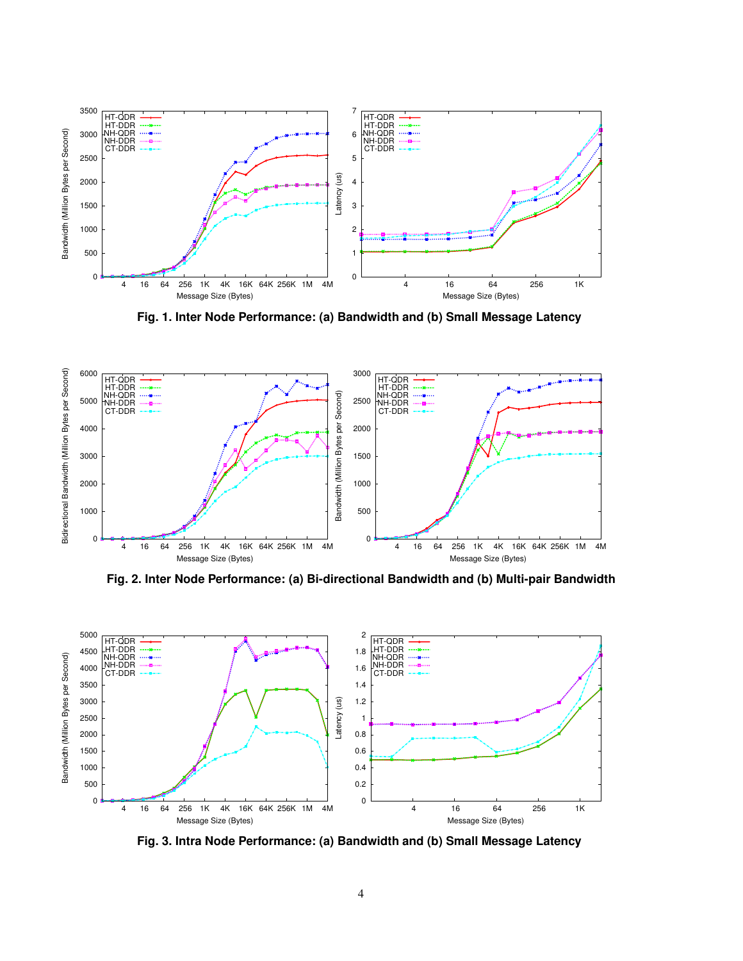

**Fig. 1. Inter Node Performance: (a) Bandwidth and (b) Small Message Latency**



**Fig. 2. Inter Node Performance: (a) Bi-directional Bandwidth and (b) Multi-pair Bandwidth**



**Fig. 3. Intra Node Performance: (a) Bandwidth and (b) Small Message Latency**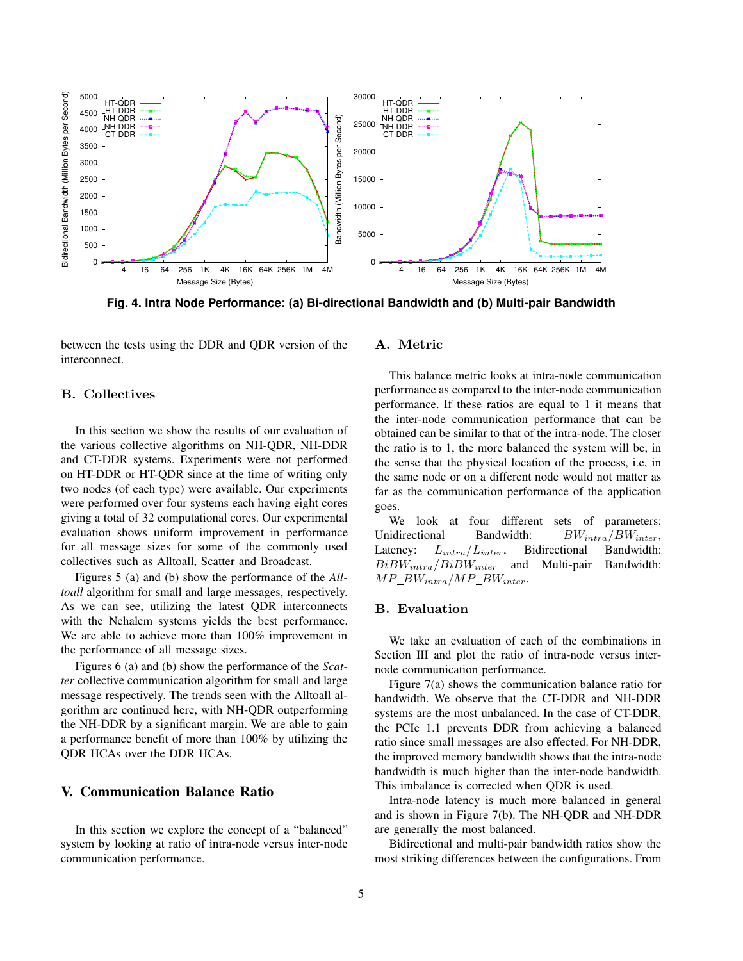

**Fig. 4. Intra Node Performance: (a) Bi-directional Bandwidth and (b) Multi-pair Bandwidth**

between the tests using the DDR and QDR version of the interconnect.

### B. Collectives

In this section we show the results of our evaluation of the various collective algorithms on NH-QDR, NH-DDR and CT-DDR systems. Experiments were not performed on HT-DDR or HT-QDR since at the time of writing only two nodes (of each type) were available. Our experiments were performed over four systems each having eight cores giving a total of 32 computational cores. Our experimental evaluation shows uniform improvement in performance for all message sizes for some of the commonly used collectives such as Alltoall, Scatter and Broadcast.

Figures 5 (a) and (b) show the performance of the *Alltoall* algorithm for small and large messages, respectively. As we can see, utilizing the latest QDR interconnects with the Nehalem systems yields the best performance. We are able to achieve more than 100% improvement in the performance of all message sizes.

Figures 6 (a) and (b) show the performance of the *Scatter* collective communication algorithm for small and large message respectively. The trends seen with the Alltoall algorithm are continued here, with NH-QDR outperforming the NH-DDR by a significant margin. We are able to gain a performance benefit of more than 100% by utilizing the QDR HCAs over the DDR HCAs.

### **V. Communication Balance Ratio**

In this section we explore the concept of a "balanced" system by looking at ratio of intra-node versus inter-node communication performance.

### A. Metric

This balance metric looks at intra-node communication performance as compared to the inter-node communication performance. If these ratios are equal to 1 it means that the inter-node communication performance that can be obtained can be similar to that of the intra-node. The closer the ratio is to 1, the more balanced the system will be, in the sense that the physical location of the process, i.e, in the same node or on a different node would not matter as far as the communication performance of the application goes.

We look at four different sets of parameters: Unidirectional Bandwidth:  $BW_{intra}/BW_{inter}$ , Latency:  $L_{intra}/L_{inter}$ , Bidirectional Bandwidth:  $BiBW_{intra}/BiBW_{inter}$  and Multi-pair Bandwidth:  $MP\_BW_{intra}/MP\_BW_{inter}.$ 

# B. Evaluation

We take an evaluation of each of the combinations in Section III and plot the ratio of intra-node versus internode communication performance.

Figure 7(a) shows the communication balance ratio for bandwidth. We observe that the CT-DDR and NH-DDR systems are the most unbalanced. In the case of CT-DDR, the PCIe 1.1 prevents DDR from achieving a balanced ratio since small messages are also effected. For NH-DDR, the improved memory bandwidth shows that the intra-node bandwidth is much higher than the inter-node bandwidth. This imbalance is corrected when QDR is used.

Intra-node latency is much more balanced in general and is shown in Figure 7(b). The NH-QDR and NH-DDR are generally the most balanced.

Bidirectional and multi-pair bandwidth ratios show the most striking differences between the configurations. From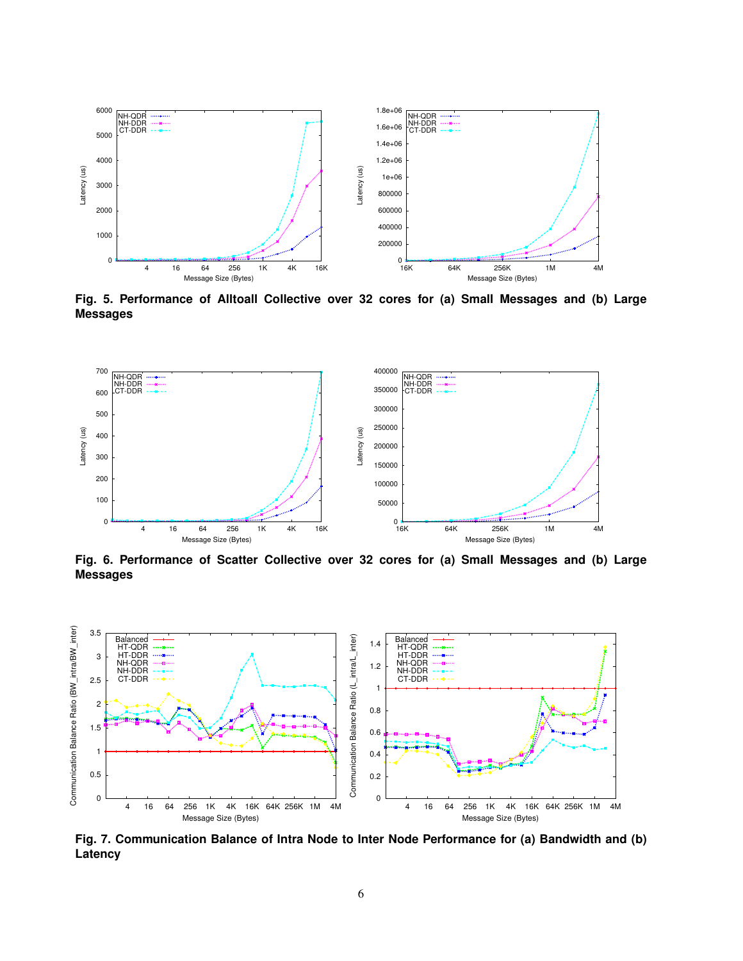

**Fig. 5. Performance of Alltoall Collective over 32 cores for (a) Small Messages and (b) Large Messages**



**Fig. 6. Performance of Scatter Collective over 32 cores for (a) Small Messages and (b) Large Messages**



**Fig. 7. Communication Balance of Intra Node to Inter Node Performance for (a) Bandwidth and (b) Latency**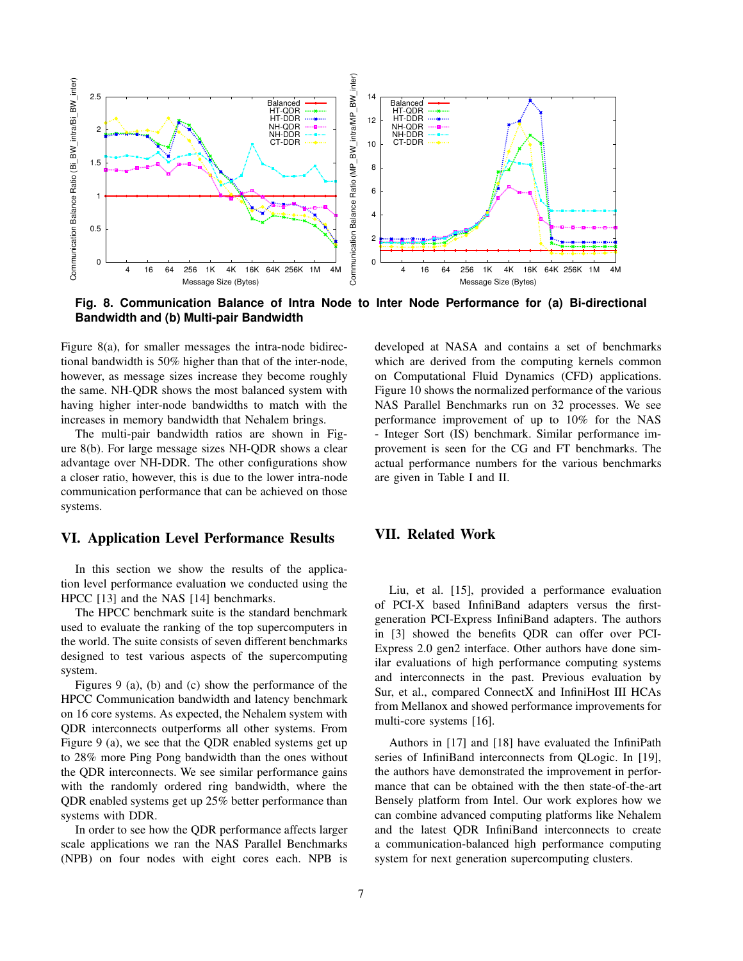

**Fig. 8. Communication Balance of Intra Node to Inter Node Performance for (a) Bi-directional Bandwidth and (b) Multi-pair Bandwidth**

Figure 8(a), for smaller messages the intra-node bidirectional bandwidth is 50% higher than that of the inter-node, however, as message sizes increase they become roughly the same. NH-QDR shows the most balanced system with having higher inter-node bandwidths to match with the increases in memory bandwidth that Nehalem brings.

The multi-pair bandwidth ratios are shown in Figure 8(b). For large message sizes NH-QDR shows a clear advantage over NH-DDR. The other configurations show a closer ratio, however, this is due to the lower intra-node communication performance that can be achieved on those systems.

### **VI. Application Level Performance Results**

In this section we show the results of the application level performance evaluation we conducted using the HPCC [13] and the NAS [14] benchmarks.

The HPCC benchmark suite is the standard benchmark used to evaluate the ranking of the top supercomputers in the world. The suite consists of seven different benchmarks designed to test various aspects of the supercomputing system.

Figures 9 (a), (b) and (c) show the performance of the HPCC Communication bandwidth and latency benchmark on 16 core systems. As expected, the Nehalem system with QDR interconnects outperforms all other systems. From Figure 9 (a), we see that the QDR enabled systems get up to 28% more Ping Pong bandwidth than the ones without the QDR interconnects. We see similar performance gains with the randomly ordered ring bandwidth, where the QDR enabled systems get up 25% better performance than systems with DDR.

In order to see how the QDR performance affects larger scale applications we ran the NAS Parallel Benchmarks (NPB) on four nodes with eight cores each. NPB is

developed at NASA and contains a set of benchmarks which are derived from the computing kernels common on Computational Fluid Dynamics (CFD) applications. Figure 10 shows the normalized performance of the various NAS Parallel Benchmarks run on 32 processes. We see performance improvement of up to 10% for the NAS - Integer Sort (IS) benchmark. Similar performance improvement is seen for the CG and FT benchmarks. The actual performance numbers for the various benchmarks are given in Table I and II.

# **VII. Related Work**

Liu, et al. [15], provided a performance evaluation of PCI-X based InfiniBand adapters versus the firstgeneration PCI-Express InfiniBand adapters. The authors in [3] showed the benefits QDR can offer over PCI-Express 2.0 gen2 interface. Other authors have done similar evaluations of high performance computing systems and interconnects in the past. Previous evaluation by Sur, et al., compared ConnectX and InfiniHost III HCAs from Mellanox and showed performance improvements for multi-core systems [16].

Authors in [17] and [18] have evaluated the InfiniPath series of InfiniBand interconnects from QLogic. In [19], the authors have demonstrated the improvement in performance that can be obtained with the then state-of-the-art Bensely platform from Intel. Our work explores how we can combine advanced computing platforms like Nehalem and the latest QDR InfiniBand interconnects to create a communication-balanced high performance computing system for next generation supercomputing clusters.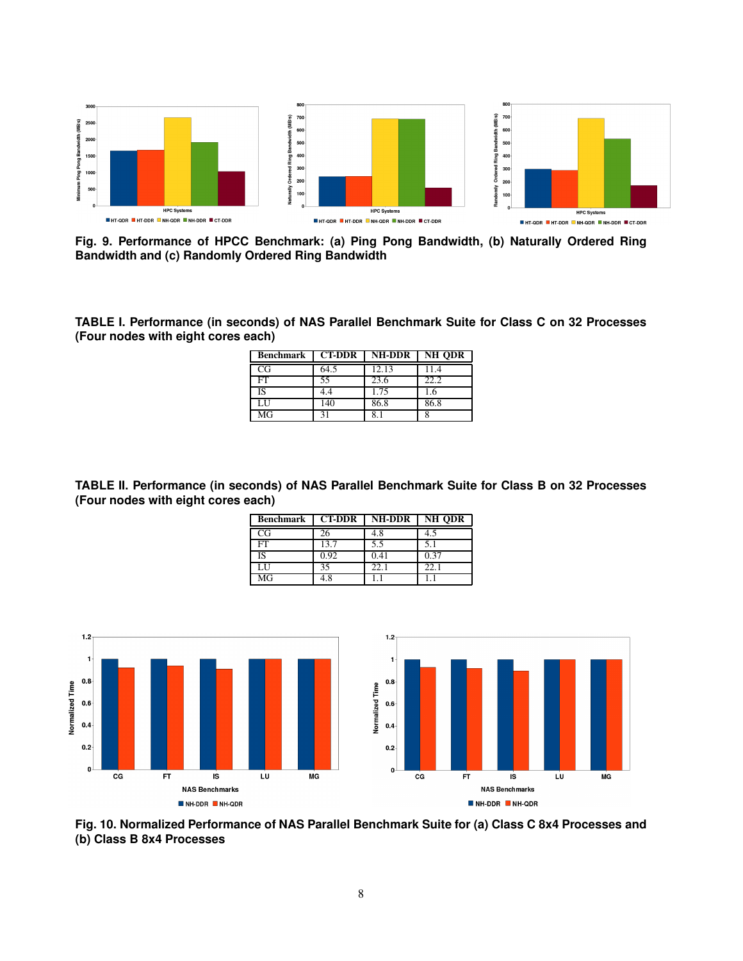

**Fig. 9. Performance of HPCC Benchmark: (a) Ping Pong Bandwidth, (b) Naturally Ordered Ring Bandwidth and (c) Randomly Ordered Ring Bandwidth**

**TABLE I. Performance (in seconds) of NAS Parallel Benchmark Suite for Class C on 32 Processes (Four nodes with eight cores each)**

| Benchmark | CT-DDR | <b>NH-DDR</b> | <b>NH ODR</b> |
|-----------|--------|---------------|---------------|
| CG        | 64.5   | 12.13         | 11.4          |
| FT        | 55     | 23.6          | 22.2          |
| <b>IS</b> | 4.4    | 1.75          |               |
| LU        | 140    | 86.8          | 86.8          |
| МG        | 31     | 8.            |               |

**TABLE II. Performance (in seconds) of NAS Parallel Benchmark Suite for Class B on 32 Processes (Four nodes with eight cores each)**

| <b>Benchmark CT-DDR</b> |      | <b>NH-DDR</b> | <b>NH ODR</b> |
|-------------------------|------|---------------|---------------|
| CG                      |      | 4.8           | 4.5           |
| FT                      | 13.7 | 5.5           | 5.1           |
| <b>IS</b>               | 0.92 | 0.41          | 0.37          |
| LU                      | 35   | 22.1          | 22.1          |
| $\overline{\text{MG}}$  |      |               |               |